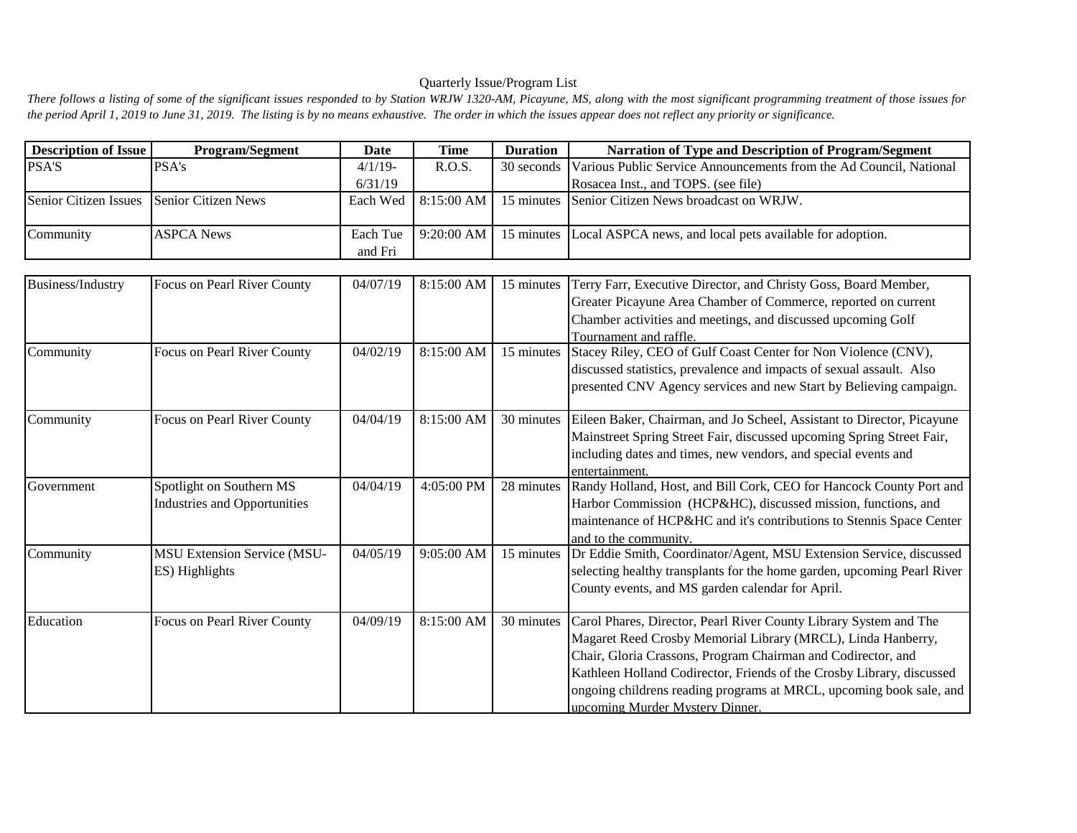## Quarterly Issue/Program List

There follows a listing of some of the significant issues responded to by Station WRJW 1320-AM, Picayune, MS, along with the most significant programming treatment of those issues for *the period April 1, 2019 to June 31, 2019. The listing is by no means exhaustive. The order in which the issues appear does not reflect any priority or significance.*

| <b>Description of Issue</b>               | <b>Program/Segment</b> | Date                | <b>Time</b> | <b>Duration</b> | Narration of Type and Description of Program/Segment                             |
|-------------------------------------------|------------------------|---------------------|-------------|-----------------|----------------------------------------------------------------------------------|
| <b>PSA'S</b>                              | <b>PSA's</b>           | $4/1/19$ -          | R.O.S.      |                 | 30 seconds Various Public Service Announcements from the Ad Council, National    |
|                                           |                        | 6/31/19             |             |                 | Rosacea Inst., and TOPS. (see file)                                              |
| Senior Citizen Issues Senior Citizen News |                        | Each Wed            |             |                 | 8:15:00 AM   15 minutes Senior Citizen News broadcast on WRJW.                   |
| Community                                 | <b>ASPCA News</b>      | Each Tue<br>and Fri |             |                 | 9:20:00 AM   15 minutes Local ASPCA news, and local pets available for adoption. |

| Business/Industry | Focus on Pearl River County         | 04/07/19 | 8:15:00 AM | 15 minutes | Terry Farr, Executive Director, and Christy Goss, Board Member,         |
|-------------------|-------------------------------------|----------|------------|------------|-------------------------------------------------------------------------|
|                   |                                     |          |            |            | Greater Picayune Area Chamber of Commerce, reported on current          |
|                   |                                     |          |            |            | Chamber activities and meetings, and discussed upcoming Golf            |
|                   |                                     |          |            |            | Tournament and raffle.                                                  |
| Community         | Focus on Pearl River County         | 04/02/19 | 8:15:00 AM | 15 minutes | Stacey Riley, CEO of Gulf Coast Center for Non Violence (CNV),          |
|                   |                                     |          |            |            | discussed statistics, prevalence and impacts of sexual assault. Also    |
|                   |                                     |          |            |            | presented CNV Agency services and new Start by Believing campaign.      |
| Community         | Focus on Pearl River County         | 04/04/19 | 8:15:00 AM | 30 minutes | Eileen Baker, Chairman, and Jo Scheel, Assistant to Director, Picayune  |
|                   |                                     |          |            |            | Mainstreet Spring Street Fair, discussed upcoming Spring Street Fair,   |
|                   |                                     |          |            |            | including dates and times, new vendors, and special events and          |
|                   |                                     |          |            |            | entertainment.                                                          |
| Government        | Spotlight on Southern MS            | 04/04/19 | 4:05:00 PM | 28 minutes | Randy Holland, Host, and Bill Cork, CEO for Hancock County Port and     |
|                   | <b>Industries and Opportunities</b> |          |            |            | Harbor Commission (HCP&HC), discussed mission, functions, and           |
|                   |                                     |          |            |            | maintenance of HCP&HC and it's contributions to Stennis Space Center    |
|                   |                                     |          |            |            | and to the community.                                                   |
| Community         | <b>MSU Extension Service (MSU-</b>  | 04/05/19 | 9:05:00 AM | 15 minutes | Dr Eddie Smith, Coordinator/Agent, MSU Extension Service, discussed     |
|                   | ES) Highlights                      |          |            |            | selecting healthy transplants for the home garden, upcoming Pearl River |
|                   |                                     |          |            |            | County events, and MS garden calendar for April.                        |
| Education         | Focus on Pearl River County         | 04/09/19 | 8:15:00 AM | 30 minutes | Carol Phares, Director, Pearl River County Library System and The       |
|                   |                                     |          |            |            | Magaret Reed Crosby Memorial Library (MRCL), Linda Hanberry,            |
|                   |                                     |          |            |            | Chair, Gloria Crassons, Program Chairman and Codirector, and            |
|                   |                                     |          |            |            |                                                                         |
|                   |                                     |          |            |            | Kathleen Holland Codirector, Friends of the Crosby Library, discussed   |
|                   |                                     |          |            |            | ongoing childrens reading programs at MRCL, upcoming book sale, and     |
|                   |                                     |          |            |            | upcoming Murder Mystery Dinner.                                         |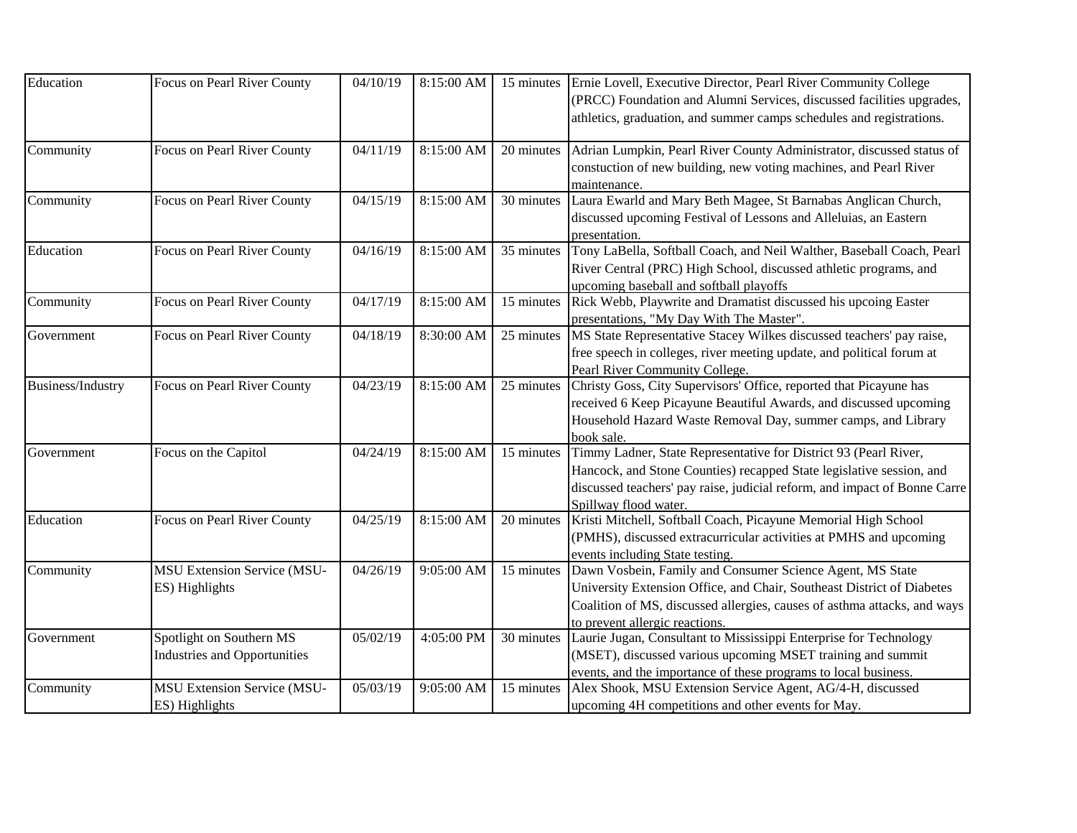| Education         | Focus on Pearl River County         | 04/10/19 | 8:15:00 AM | 15 minutes | Ernie Lovell, Executive Director, Pearl River Community College           |
|-------------------|-------------------------------------|----------|------------|------------|---------------------------------------------------------------------------|
|                   |                                     |          |            |            | (PRCC) Foundation and Alumni Services, discussed facilities upgrades,     |
|                   |                                     |          |            |            | athletics, graduation, and summer camps schedules and registrations.      |
| Community         | Focus on Pearl River County         | 04/11/19 | 8:15:00 AM | 20 minutes | Adrian Lumpkin, Pearl River County Administrator, discussed status of     |
|                   |                                     |          |            |            | constuction of new building, new voting machines, and Pearl River         |
|                   |                                     |          |            |            | maintenance.                                                              |
| Community         | Focus on Pearl River County         | 04/15/19 | 8:15:00 AM | 30 minutes | Laura Ewarld and Mary Beth Magee, St Barnabas Anglican Church,            |
|                   |                                     |          |            |            | discussed upcoming Festival of Lessons and Alleluias, an Eastern          |
|                   |                                     |          |            |            | presentation.                                                             |
| Education         | Focus on Pearl River County         | 04/16/19 | 8:15:00 AM | 35 minutes | Tony LaBella, Softball Coach, and Neil Walther, Baseball Coach, Pearl     |
|                   |                                     |          |            |            | River Central (PRC) High School, discussed athletic programs, and         |
|                   |                                     |          |            |            | upcoming baseball and softball playoffs                                   |
| Community         | Focus on Pearl River County         | 04/17/19 | 8:15:00 AM | 15 minutes | Rick Webb, Playwrite and Dramatist discussed his upcoing Easter           |
|                   |                                     |          |            |            | presentations, "My Day With The Master".                                  |
| Government        | Focus on Pearl River County         | 04/18/19 | 8:30:00 AM | 25 minutes | MS State Representative Stacey Wilkes discussed teachers' pay raise,      |
|                   |                                     |          |            |            | free speech in colleges, river meeting update, and political forum at     |
|                   |                                     |          |            |            | Pearl River Community College.                                            |
| Business/Industry | Focus on Pearl River County         | 04/23/19 | 8:15:00 AM | 25 minutes | Christy Goss, City Supervisors' Office, reported that Picayune has        |
|                   |                                     |          |            |            | received 6 Keep Picayune Beautiful Awards, and discussed upcoming         |
|                   |                                     |          |            |            | Household Hazard Waste Removal Day, summer camps, and Library             |
|                   |                                     |          |            |            | book sale.                                                                |
| Government        | Focus on the Capitol                | 04/24/19 | 8:15:00 AM | 15 minutes | Timmy Ladner, State Representative for District 93 (Pearl River,          |
|                   |                                     |          |            |            | Hancock, and Stone Counties) recapped State legislative session, and      |
|                   |                                     |          |            |            | discussed teachers' pay raise, judicial reform, and impact of Bonne Carre |
|                   |                                     |          |            |            | Spillway flood water.                                                     |
| Education         | Focus on Pearl River County         | 04/25/19 | 8:15:00 AM | 20 minutes | Kristi Mitchell, Softball Coach, Picayune Memorial High School            |
|                   |                                     |          |            |            | (PMHS), discussed extracurricular activities at PMHS and upcoming         |
|                   |                                     |          |            |            | events including State testing.                                           |
| Community         | <b>MSU Extension Service (MSU-</b>  | 04/26/19 | 9:05:00 AM | 15 minutes | Dawn Vosbein, Family and Consumer Science Agent, MS State                 |
|                   | ES) Highlights                      |          |            |            | University Extension Office, and Chair, Southeast District of Diabetes    |
|                   |                                     |          |            |            | Coalition of MS, discussed allergies, causes of asthma attacks, and ways  |
|                   |                                     |          |            |            | to prevent allergic reactions.                                            |
| Government        | Spotlight on Southern MS            | 05/02/19 | 4:05:00 PM | 30 minutes | Laurie Jugan, Consultant to Mississippi Enterprise for Technology         |
|                   | <b>Industries and Opportunities</b> |          |            |            | (MSET), discussed various upcoming MSET training and summit               |
|                   |                                     |          |            |            | events, and the importance of these programs to local business.           |
| Community         | <b>MSU Extension Service (MSU-</b>  | 05/03/19 | 9:05:00 AM | 15 minutes | Alex Shook, MSU Extension Service Agent, AG/4-H, discussed                |
|                   | ES) Highlights                      |          |            |            | upcoming 4H competitions and other events for May.                        |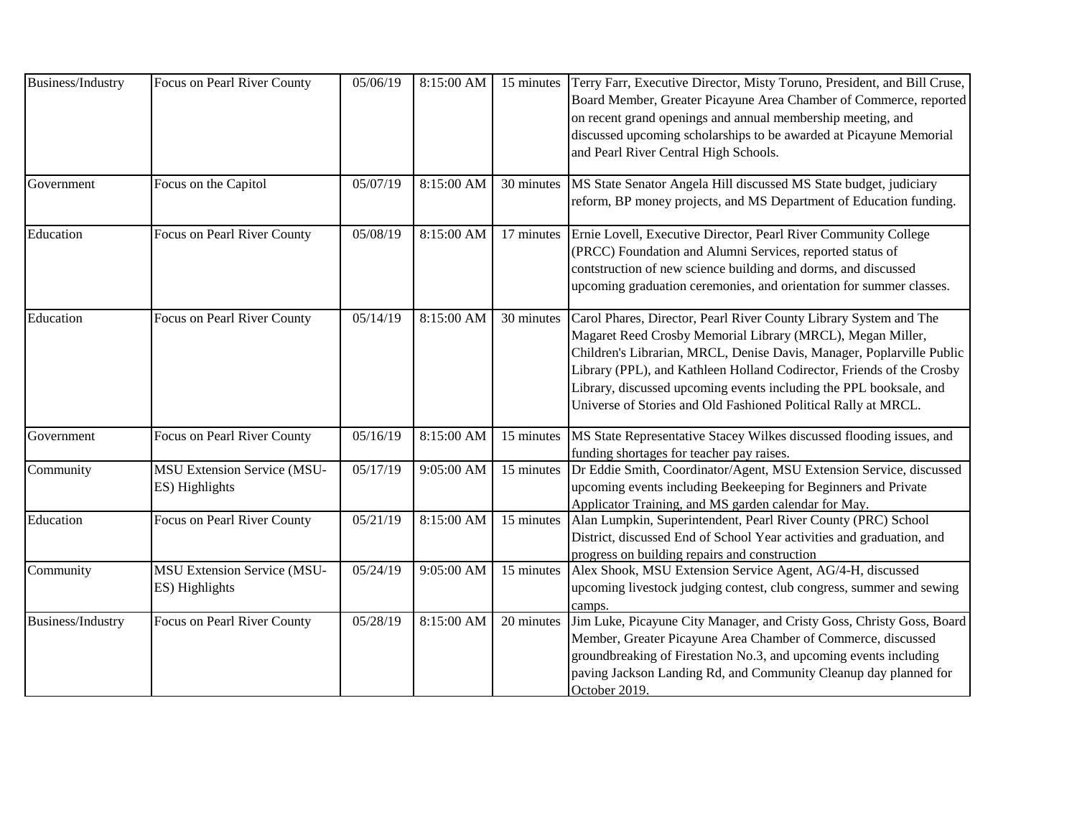| Business/Industry | Focus on Pearl River County                          | 05/06/19 | 8:15:00 AM | 15 minutes | Terry Farr, Executive Director, Misty Toruno, President, and Bill Cruse,<br>Board Member, Greater Picayune Area Chamber of Commerce, reported<br>on recent grand openings and annual membership meeting, and<br>discussed upcoming scholarships to be awarded at Picayune Memorial<br>and Pearl River Central High Schools.                                                                                               |
|-------------------|------------------------------------------------------|----------|------------|------------|---------------------------------------------------------------------------------------------------------------------------------------------------------------------------------------------------------------------------------------------------------------------------------------------------------------------------------------------------------------------------------------------------------------------------|
| Government        | Focus on the Capitol                                 | 05/07/19 | 8:15:00 AM | 30 minutes | MS State Senator Angela Hill discussed MS State budget, judiciary<br>reform, BP money projects, and MS Department of Education funding.                                                                                                                                                                                                                                                                                   |
| Education         | Focus on Pearl River County                          | 05/08/19 | 8:15:00 AM | 17 minutes | Ernie Lovell, Executive Director, Pearl River Community College<br>(PRCC) Foundation and Alumni Services, reported status of<br>contstruction of new science building and dorms, and discussed<br>upcoming graduation ceremonies, and orientation for summer classes.                                                                                                                                                     |
| Education         | Focus on Pearl River County                          | 05/14/19 | 8:15:00 AM | 30 minutes | Carol Phares, Director, Pearl River County Library System and The<br>Magaret Reed Crosby Memorial Library (MRCL), Megan Miller,<br>Children's Librarian, MRCL, Denise Davis, Manager, Poplarville Public<br>Library (PPL), and Kathleen Holland Codirector, Friends of the Crosby<br>Library, discussed upcoming events including the PPL booksale, and<br>Universe of Stories and Old Fashioned Political Rally at MRCL. |
| Government        | Focus on Pearl River County                          | 05/16/19 | 8:15:00 AM | 15 minutes | MS State Representative Stacey Wilkes discussed flooding issues, and<br>funding shortages for teacher pay raises.                                                                                                                                                                                                                                                                                                         |
| Community         | <b>MSU Extension Service (MSU-</b><br>ES) Highlights | 05/17/19 | 9:05:00 AM | 15 minutes | Dr Eddie Smith, Coordinator/Agent, MSU Extension Service, discussed<br>upcoming events including Beekeeping for Beginners and Private<br>Applicator Training, and MS garden calendar for May.                                                                                                                                                                                                                             |
| Education         | Focus on Pearl River County                          | 05/21/19 | 8:15:00 AM | 15 minutes | Alan Lumpkin, Superintendent, Pearl River County (PRC) School<br>District, discussed End of School Year activities and graduation, and<br>progress on building repairs and construction                                                                                                                                                                                                                                   |
| Community         | <b>MSU Extension Service (MSU-</b><br>ES) Highlights | 05/24/19 | 9:05:00 AM | 15 minutes | Alex Shook, MSU Extension Service Agent, AG/4-H, discussed<br>upcoming livestock judging contest, club congress, summer and sewing<br>camps.                                                                                                                                                                                                                                                                              |
| Business/Industry | Focus on Pearl River County                          | 05/28/19 | 8:15:00 AM | 20 minutes | Jim Luke, Picayune City Manager, and Cristy Goss, Christy Goss, Board<br>Member, Greater Picayune Area Chamber of Commerce, discussed<br>groundbreaking of Firestation No.3, and upcoming events including<br>paving Jackson Landing Rd, and Community Cleanup day planned for<br>October 2019.                                                                                                                           |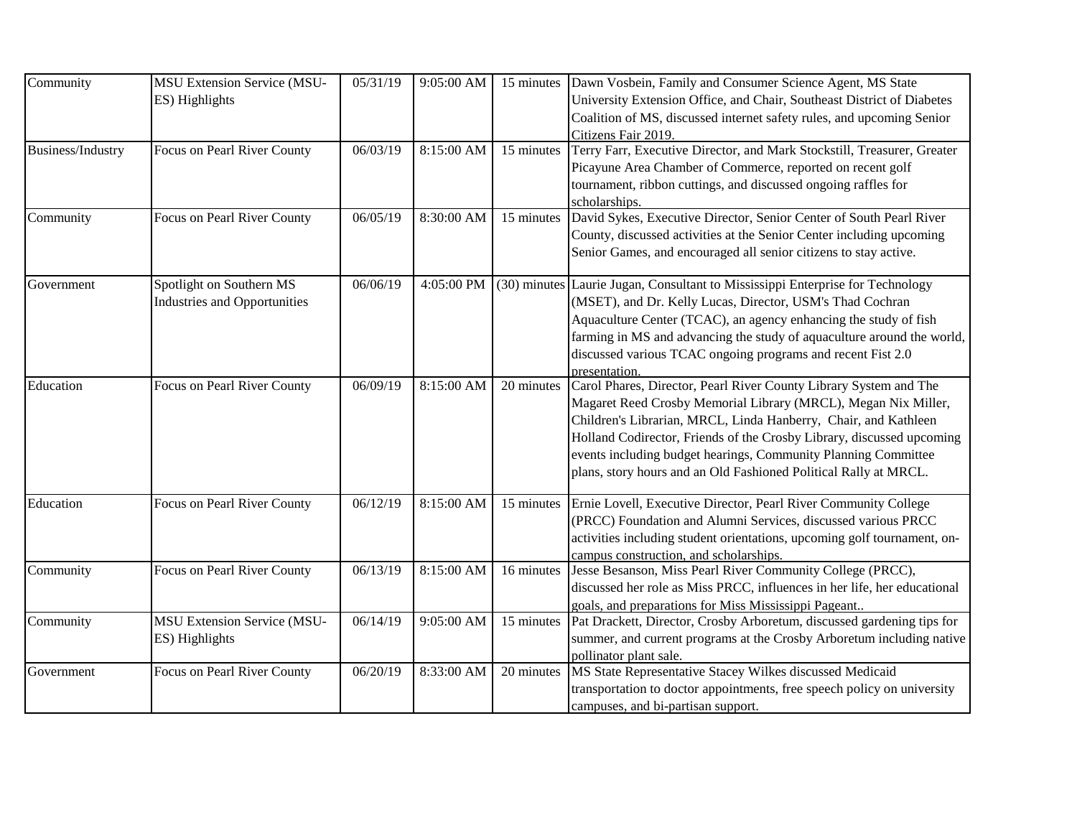| Community                | MSU Extension Service (MSU-         | 05/31/19 | $9:05:00$ AM |            | 15 minutes Dawn Vosbein, Family and Consumer Science Agent, MS State           |
|--------------------------|-------------------------------------|----------|--------------|------------|--------------------------------------------------------------------------------|
|                          | ES) Highlights                      |          |              |            | University Extension Office, and Chair, Southeast District of Diabetes         |
|                          |                                     |          |              |            | Coalition of MS, discussed internet safety rules, and upcoming Senior          |
|                          |                                     |          |              |            | Citizens Fair 2019.                                                            |
| <b>Business/Industry</b> | Focus on Pearl River County         | 06/03/19 | 8:15:00 AM   | 15 minutes | Terry Farr, Executive Director, and Mark Stockstill, Treasurer, Greater        |
|                          |                                     |          |              |            | Picayune Area Chamber of Commerce, reported on recent golf                     |
|                          |                                     |          |              |            | tournament, ribbon cuttings, and discussed ongoing raffles for                 |
|                          |                                     |          |              |            | scholarships.                                                                  |
| Community                | Focus on Pearl River County         | 06/05/19 | 8:30:00 AM   | 15 minutes | David Sykes, Executive Director, Senior Center of South Pearl River            |
|                          |                                     |          |              |            | County, discussed activities at the Senior Center including upcoming           |
|                          |                                     |          |              |            | Senior Games, and encouraged all senior citizens to stay active.               |
| Government               | Spotlight on Southern MS            | 06/06/19 | 4:05:00 PM   |            | (30) minutes Laurie Jugan, Consultant to Mississippi Enterprise for Technology |
|                          | <b>Industries and Opportunities</b> |          |              |            | (MSET), and Dr. Kelly Lucas, Director, USM's Thad Cochran                      |
|                          |                                     |          |              |            | Aquaculture Center (TCAC), an agency enhancing the study of fish               |
|                          |                                     |          |              |            | farming in MS and advancing the study of aquaculture around the world,         |
|                          |                                     |          |              |            | discussed various TCAC ongoing programs and recent Fist 2.0                    |
|                          |                                     |          |              |            | presentation.                                                                  |
| Education                | Focus on Pearl River County         | 06/09/19 | 8:15:00 AM   | 20 minutes | Carol Phares, Director, Pearl River County Library System and The              |
|                          |                                     |          |              |            | Magaret Reed Crosby Memorial Library (MRCL), Megan Nix Miller,                 |
|                          |                                     |          |              |            | Children's Librarian, MRCL, Linda Hanberry, Chair, and Kathleen                |
|                          |                                     |          |              |            | Holland Codirector, Friends of the Crosby Library, discussed upcoming          |
|                          |                                     |          |              |            | events including budget hearings, Community Planning Committee                 |
|                          |                                     |          |              |            | plans, story hours and an Old Fashioned Political Rally at MRCL.               |
| Education                | Focus on Pearl River County         | 06/12/19 | 8:15:00 AM   | 15 minutes | Ernie Lovell, Executive Director, Pearl River Community College                |
|                          |                                     |          |              |            | (PRCC) Foundation and Alumni Services, discussed various PRCC                  |
|                          |                                     |          |              |            | activities including student orientations, upcoming golf tournament, on-       |
|                          |                                     |          |              |            | campus construction, and scholarships.                                         |
| Community                | Focus on Pearl River County         | 06/13/19 | 8:15:00 AM   | 16 minutes | Jesse Besanson, Miss Pearl River Community College (PRCC),                     |
|                          |                                     |          |              |            | discussed her role as Miss PRCC, influences in her life, her educational       |
|                          |                                     |          |              |            | goals, and preparations for Miss Mississippi Pageant.                          |
| Community                | <b>MSU Extension Service (MSU-</b>  | 06/14/19 | 9:05:00 AM   | 15 minutes | Pat Drackett, Director, Crosby Arboretum, discussed gardening tips for         |
|                          | ES) Highlights                      |          |              |            | summer, and current programs at the Crosby Arboretum including native          |
|                          |                                     |          |              |            | pollinator plant sale.                                                         |
| Government               | Focus on Pearl River County         | 06/20/19 | 8:33:00 AM   | 20 minutes | MS State Representative Stacey Wilkes discussed Medicaid                       |
|                          |                                     |          |              |            | transportation to doctor appointments, free speech policy on university        |
|                          |                                     |          |              |            | campuses, and bi-partisan support.                                             |